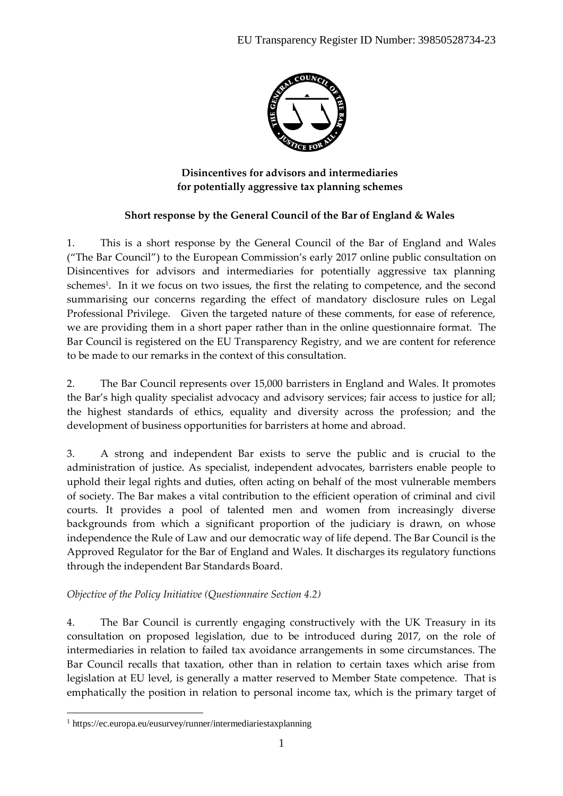

**Disincentives for advisors and intermediaries for potentially aggressive tax planning schemes**

# **Short response by the General Council of the Bar of England & Wales**

1. This is a short response by the General Council of the Bar of England and Wales ("The Bar Council") to the European Commission's early 2017 online public consultation on Disincentives for advisors and intermediaries for potentially aggressive tax planning schemes<sup>1</sup>. In it we focus on two issues, the first the relating to competence, and the second summarising our concerns regarding the effect of mandatory disclosure rules on Legal Professional Privilege. Given the targeted nature of these comments, for ease of reference, we are providing them in a short paper rather than in the online questionnaire format. The Bar Council is registered on the EU Transparency Registry, and we are content for reference to be made to our remarks in the context of this consultation.

2. The Bar Council represents over 15,000 barristers in England and Wales. It promotes the Bar's high quality specialist advocacy and advisory services; fair access to justice for all; the highest standards of ethics, equality and diversity across the profession; and the development of business opportunities for barristers at home and abroad.

3. A strong and independent Bar exists to serve the public and is crucial to the administration of justice. As specialist, independent advocates, barristers enable people to uphold their legal rights and duties, often acting on behalf of the most vulnerable members of society. The Bar makes a vital contribution to the efficient operation of criminal and civil courts. It provides a pool of talented men and women from increasingly diverse backgrounds from which a significant proportion of the judiciary is drawn, on whose independence the Rule of Law and our democratic way of life depend. The Bar Council is the Approved Regulator for the Bar of England and Wales. It discharges its regulatory functions through the independent Bar Standards Board.

## *Objective of the Policy Initiative (Questionnaire Section 4.2)*

4. The Bar Council is currently engaging constructively with the UK Treasury in its consultation on proposed legislation, due to be introduced during 2017, on the role of intermediaries in relation to failed tax avoidance arrangements in some circumstances. The Bar Council recalls that taxation, other than in relation to certain taxes which arise from legislation at EU level, is generally a matter reserved to Member State competence. That is emphatically the position in relation to personal income tax, which is the primary target of

 $\overline{a}$ 

<sup>1</sup> https://ec.europa.eu/eusurvey/runner/intermediariestaxplanning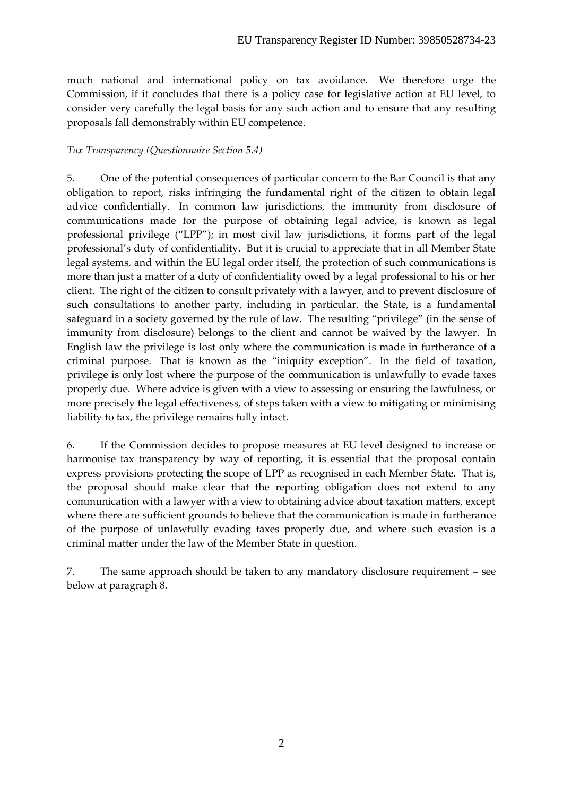much national and international policy on tax avoidance. We therefore urge the Commission, if it concludes that there is a policy case for legislative action at EU level, to consider very carefully the legal basis for any such action and to ensure that any resulting proposals fall demonstrably within EU competence.

# *Tax Transparency (Questionnaire Section 5.4)*

5. One of the potential consequences of particular concern to the Bar Council is that any obligation to report, risks infringing the fundamental right of the citizen to obtain legal advice confidentially. In common law jurisdictions, the immunity from disclosure of communications made for the purpose of obtaining legal advice, is known as legal professional privilege ("LPP"); in most civil law jurisdictions, it forms part of the legal professional's duty of confidentiality. But it is crucial to appreciate that in all Member State legal systems, and within the EU legal order itself, the protection of such communications is more than just a matter of a duty of confidentiality owed by a legal professional to his or her client. The right of the citizen to consult privately with a lawyer, and to prevent disclosure of such consultations to another party, including in particular, the State, is a fundamental safeguard in a society governed by the rule of law. The resulting "privilege" (in the sense of immunity from disclosure) belongs to the client and cannot be waived by the lawyer. In English law the privilege is lost only where the communication is made in furtherance of a criminal purpose. That is known as the "iniquity exception". In the field of taxation, privilege is only lost where the purpose of the communication is unlawfully to evade taxes properly due. Where advice is given with a view to assessing or ensuring the lawfulness, or more precisely the legal effectiveness, of steps taken with a view to mitigating or minimising liability to tax, the privilege remains fully intact.

6. If the Commission decides to propose measures at EU level designed to increase or harmonise tax transparency by way of reporting, it is essential that the proposal contain express provisions protecting the scope of LPP as recognised in each Member State. That is, the proposal should make clear that the reporting obligation does not extend to any communication with a lawyer with a view to obtaining advice about taxation matters, except where there are sufficient grounds to believe that the communication is made in furtherance of the purpose of unlawfully evading taxes properly due, and where such evasion is a criminal matter under the law of the Member State in question.

7. The same approach should be taken to any mandatory disclosure requirement – see below at paragraph 8.